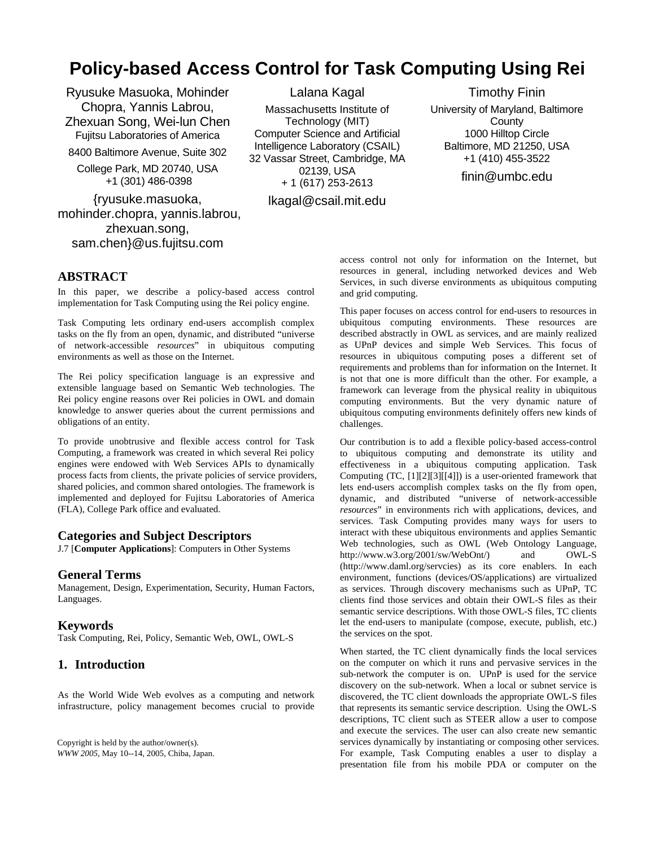# **Policy-based Access Control for Task Computing Using Rei**

Ryusuke Masuoka, Mohinder Chopra, Yannis Labrou, Zhexuan Song, Wei-lun Chen Fujitsu Laboratories of America 8400 Baltimore Avenue, Suite 302

College Park, MD 20740, USA +1 (301) 486-0398

{ryusuke.masuoka, mohinder.chopra, yannis.labrou, zhexuan.song, sam.chen}@us.fujitsu.com

Lalana Kagal Massachusetts Institute of Technology (MIT) Computer Science and Artificial Intelligence Laboratory (CSAIL) 32 Vassar Street, Cambridge, MA 02139, USA + 1 (617) 253-2613

lkagal@csail.mit.edu

Timothy Finin University of Maryland, Baltimore **County** 1000 Hilltop Circle Baltimore, MD 21250, USA +1 (410) 455-3522

finin@umbc.edu

## **ABSTRACT**

In this paper, we describe a policy-based access control implementation for Task Computing using the Rei policy engine.

Task Computing lets ordinary end-users accomplish complex tasks on the fly from an open, dynamic, and distributed "universe of network-accessible *resources*" in ubiquitous computing environments as well as those on the Internet.

The Rei policy specification language is an expressive and extensible language based on Semantic Web technologies. The Rei policy engine reasons over Rei policies in OWL and domain knowledge to answer queries about the current permissions and obligations of an entity.

To provide unobtrusive and flexible access control for Task Computing, a framework was created in which several Rei policy engines were endowed with Web Services APIs to dynamically process facts from clients, the private policies of service providers, shared policies, and common shared ontologies. The framework is implemented and deployed for Fujitsu Laboratories of America (FLA), College Park office and evaluated.

### **Categories and Subject Descriptors**

J.7 [**Computer Applications**]: Computers in Other Systems

### **General Terms**

Management, Design, Experimentation, Security, Human Factors, Languages.

### **Keywords**

Task Computing, Rei, Policy, Semantic Web, OWL, OWL-S

## <span id="page-0-0"></span>**1. Introduction**

As the World Wide Web evolves as a computing and network infrastructure, policy management becomes crucial to provide

Copyright is held by the author/owner(s). *WWW 2005*, May 10--14, 2005, Chiba, Japan. access control not only for information on the Internet, but resources in general, including networked devices and Web Services, in such diverse environments as ubiquitous computing and grid computing.

This paper focuses on access control for end-users to resources in ubiquitous computing environments. These resources are described abstractly in OWL as services, and are mainly realized as UPnP devices and simple Web Services. This focus of resources in ubiquitous computing poses a different set of requirements and problems than for information on the Internet. It is not that one is more difficult than the other. For example, a framework can leverage from the physical reality in ubiquitous computing environments. But the very dynamic nature of ubiquitous computing environments definitely offers new kinds of challenges.

Our contribution is to add a flexible policy-based access-control to ubiquitous computing and demonstrate its utility and effectiveness in a ubiquitous computing application. Task Computing (TC, [\[1\]](#page-5-0)[\[2\]](#page-5-1)[\[3\]\[](#page-5-2)[\[4\]](#page-5-3)]) is a user-oriented framework that lets end-users accomplish complex tasks on the fly from open, dynamic, and distributed "universe of network-accessible *resources*" in environments rich with applications, devices, and services. Task Computing provides many ways for users to interact with these ubiquitous environments and applies Semantic Web technologies, such as OWL (Web Ontology Language, http://www.w3.org/2001/sw/WebOnt/) and OWL-S (http://www.daml.org/servcies) as its core enablers. In each environment, functions (devices/OS/applications) are virtualized as services. Through discovery mechanisms such as UPnP, TC clients find those services and obtain their OWL-S files as their semantic service descriptions. With those OWL-S files, TC clients let the end-users to manipulate (compose, execute, publish, etc.) the services on the spot.

When started, the TC client dynamically finds the local services on the computer on which it runs and pervasive services in the sub-network the computer is on. UPnP is used for the service discovery on the sub-network. When a local or subnet service is discovered, the TC client downloads the appropriate OWL-S files that represents its semantic service description. Using the OWL-S descriptions, TC client such as STEER allow a user to compose and execute the services. The user can also create new semantic services dynamically by instantiating or composing other services. For example, Task Computing enables a user to display a presentation file from his mobile PDA or computer on the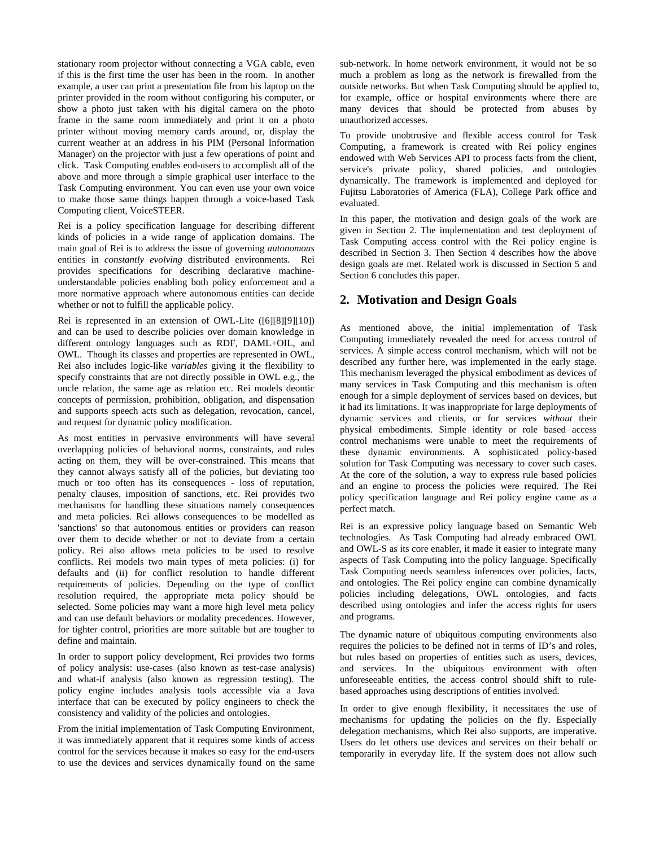stationary room projector without connecting a VGA cable, even if this is the first time the user has been in the room. In another example, a user can print a presentation file from his laptop on the printer provided in the room without configuring his computer, or show a photo just taken with his digital camera on the photo frame in the same room immediately and print it on a photo printer without moving memory cards around, or, display the current weather at an address in his PIM (Personal Information Manager) on the projector with just a few operations of point and click. Task Computing enables end-users to accomplish all of the above and more through a simple graphical user interface to the Task Computing environment. You can even use your own voice to make those same things happen through a voice-based Task Computing client, VoiceSTEER.

Rei is a policy specification language for describing different kinds of policies in a wide range of application domains. The main goal of Rei is to address the issue of governing *autonomous* entities in *constantly evolving* distributed environments. Rei provides specifications for describing declarative machineunderstandable policies enabling both policy enforcement and a more normative approach where autonomous entities can decide whether or not to fulfill the applicable policy.

<span id="page-1-0"></span>Rei is represented in an extension of OWL-Lite ([\[6\]](#page-5-4)[\[8\]](#page-5-5)[\[9\]](#page-6-0)[\[10\]](#page-6-1)) and can be used to describe policies over domain knowledge in different ontology languages such as RDF, DAML+OIL, and OWL. Though its classes and properties are represented in OWL, Rei also includes logic-like *variables* giving it the flexibility to specify constraints that are not directly possible in OWL e.g., the uncle relation, the same age as relation etc. Rei models deontic concepts of permission, prohibition, obligation, and dispensation and supports speech acts such as delegation, revocation, cancel, and request for dynamic policy modification.

As most entities in pervasive environments will have several overlapping policies of behavioral norms, constraints, and rules acting on them, they will be over-constrained. This means that they cannot always satisfy all of the policies, but deviating too much or too often has its consequences - loss of reputation, penalty clauses, imposition of sanctions, etc. Rei provides two mechanisms for handling these situations namely consequences and meta policies. Rei allows consequences to be modelled as 'sanctions' so that autonomous entities or providers can reason over them to decide whether or not to deviate from a certain policy. Rei also allows meta policies to be used to resolve conflicts. Rei models two main types of meta policies: (i) for defaults and (ii) for conflict resolution to handle different requirements of policies. Depending on the type of conflict resolution required, the appropriate meta policy should be selected. Some policies may want a more high level meta policy and can use default behaviors or modality precedences. However, for tighter control, priorities are more suitable but are tougher to define and maintain.

In order to support policy development, Rei provides two forms of policy analysis: use-cases (also known as test-case analysis) and what-if analysis (also known as regression testing). The policy engine includes analysis tools accessible via a Java interface that can be executed by policy engineers to check the consistency and validity of the policies and ontologies.

From the initial implementation of Task Computing Environment, it was immediately apparent that it requires some kinds of access control for the services because it makes so easy for the end-users to use the devices and services dynamically found on the same

sub-network. In home network environment, it would not be so much a problem as long as the network is firewalled from the outside networks. But when Task Computing should be applied to, for example, office or hospital environments where there are many devices that should be protected from abuses by unauthorized accesses.

To provide unobtrusive and flexible access control for Task Computing, a framework is created with Rei policy engines endowed with Web Services API to process facts from the client, service's private policy, shared policies, and ontologies dynamically. The framework is implemented and deployed for Fujitsu Laboratories of America (FLA), College Park office and evaluated.

In this paper, the motivation and design goals of the work are given in Section [2](#page-1-0). The implementation and test deployment of Task Computing access control with the Rei policy engine is described in Section [3.](#page-2-0) Then Section [4](#page-4-0) describes how the above design goals are met. Related work is discussed in Section [5](#page-5-6) and Section [6](#page-5-7) concludes this paper.

## **2. Motivation and Design Goals**

As mentioned above, the initial implementation of Task Computing immediately revealed the need for access control of services. A simple access control mechanism, which will not be described any further here, was implemented in the early stage. This mechanism leveraged the physical embodiment as devices of many services in Task Computing and this mechanism is often enough for a simple deployment of services based on devices, but it had its limitations. It was inappropriate for large deployments of dynamic services and clients, or for services *without* their physical embodiments. Simple identity or role based access control mechanisms were unable to meet the requirements of these dynamic environments. A sophisticated policy-based solution for Task Computing was necessary to cover such cases. At the core of the solution, a way to express rule based policies and an engine to process the policies were required. The Rei policy specification language and Rei policy engine came as a perfect match.

Rei is an expressive policy language based on Semantic Web technologies. As Task Computing had already embraced OWL and OWL-S as its core enabler, it made it easier to integrate many aspects of Task Computing into the policy language. Specifically Task Computing needs seamless inferences over policies, facts, and ontologies. The Rei policy engine can combine dynamically policies including delegations, OWL ontologies, and facts described using ontologies and infer the access rights for users and programs.

The dynamic nature of ubiquitous computing environments also requires the policies to be defined not in terms of ID's and roles, but rules based on properties of entities such as users, devices, and services. In the ubiquitous environment with often unforeseeable entities, the access control should shift to rulebased approaches using descriptions of entities involved.

In order to give enough flexibility, it necessitates the use of mechanisms for updating the policies on the fly. Especially delegation mechanisms, which Rei also supports, are imperative. Users do let others use devices and services on their behalf or temporarily in everyday life. If the system does not allow such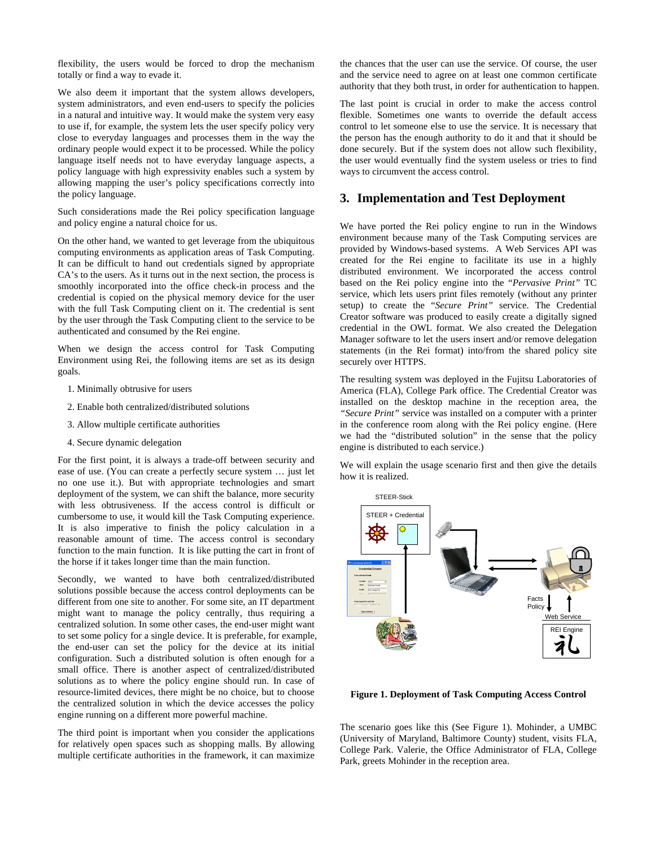flexibility, the users would be forced to drop the mechanism totally or find a way to evade it.

We also deem it important that the system allows developers, system administrators, and even end-users to specify the policies in a natural and intuitive way. It would make the system very easy to use if, for example, the system lets the user specify policy very close to everyday languages and processes them in the way the ordinary people would expect it to be processed. While the policy language itself needs not to have everyday language aspects, a policy language with high expressivity enables such a system by allowing mapping the user's policy specifications correctly into the policy language.

<span id="page-2-0"></span>Such considerations made the Rei policy specification language and policy engine a natural choice for us.

On the other hand, we wanted to get leverage from the ubiquitous computing environments as application areas of Task Computing. It can be difficult to hand out credentials signed by appropriate CA's to the users. As it turns out in the next section, the process is smoothly incorporated into the office check-in process and the credential is copied on the physical memory device for the user with the full Task Computing client on it. The credential is sent by the user through the Task Computing client to the service to be authenticated and consumed by the Rei engine.

When we design the access control for Task Computing Environment using Rei, the following items are set as its design goals.

- 1. Minimally obtrusive for users
- 2. Enable both centralized/distributed solutions
- 3. Allow multiple certificate authorities
- 4. Secure dynamic delegation

For the first point, it is always a trade-off between security and ease of use. (You can create a perfectly secure system … just let no one use it.). But with appropriate technologies and smart deployment of the system, we can shift the balance, more security with less obtrusiveness. If the access control is difficult or cumbersome to use, it would kill the Task Computing experience. It is also imperative to finish the policy calculation in a reasonable amount of time. The access control is secondary function to the main function. It is like putting the cart in front of the horse if it takes longer time than the main function.

Secondly, we wanted to have both centralized/distributed solutions possible because the access control deployments can be different from one site to another. For some site, an IT department might want to manage the policy centrally, thus requiring a centralized solution. In some other cases, the end-user might want to set some policy for a single device. It is preferable, for example, the end-user can set the policy for the device at its initial configuration. Such a distributed solution is often enough for a small office. There is another aspect of centralized/distributed solutions as to where the policy engine should run. In case of resource-limited devices, there might be no choice, but to choose the centralized solution in which the device accesses the policy engine running on a different more powerful machine.

<span id="page-2-1"></span>The third point is important when you consider the applications for relatively open spaces such as shopping malls. By allowing multiple certificate authorities in the framework, it can maximize the chances that the user can use the service. Of course, the user and the service need to agree on at least one common certificate authority that they both trust, in order for authentication to happen.

The last point is crucial in order to make the access control flexible. Sometimes one wants to override the default access control to let someone else to use the service. It is necessary that the person has the enough authority to do it and that it should be done securely. But if the system does not allow such flexibility, the user would eventually find the system useless or tries to find ways to circumvent the access control.

## **3. Implementation and Test Deployment**

We have ported the Rei policy engine to run in the Windows environment because many of the Task Computing services are provided by Windows-based systems. A Web Services API was created for the Rei engine to facilitate its use in a highly distributed environment. We incorporated the access control based on the Rei policy engine into the "*Pervasive Print"* TC service, which lets users print files remotely (without any printer setup) to create the "*Secure Print"* service. The Credential Creator software was produced to easily create a digitally signed credential in the OWL format. We also created the Delegation Manager software to let the users insert and/or remove delegation statements (in the Rei format) into/from the shared policy site securely over HTTPS.

The resulting system was deployed in the Fujitsu Laboratories of America (FLA), College Park office. The Credential Creator was installed on the desktop machine in the reception area, the *"Secure Print"* service was installed on a computer with a printer in the conference room along with the Rei policy engine. (Here we had the "distributed solution" in the sense that the policy engine is distributed to each service.)

We will explain the usage scenario first and then give the details how it is realized.



**Figure 1. Deployment of Task Computing Access Control** 

The scenario goes like this (See [Figure 1\)](#page-2-1). Mohinder, a UMBC (University of Maryland, Baltimore County) student, visits FLA, College Park. Valerie, the Office Administrator of FLA, College Park, greets Mohinder in the reception area.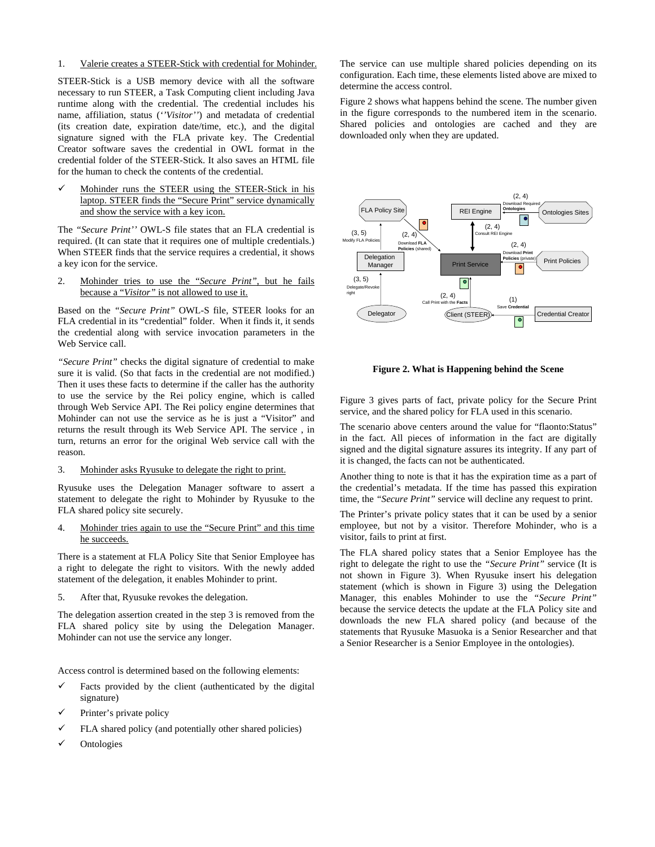1. Valerie creates a STEER-Stick with credential for Mohinder.

STEER-Stick is a USB memory device with all the software necessary to run STEER, a Task Computing client including Java runtime along with the credential. The credential includes his name, affiliation, status (*''Visitor''*) and metadata of credential (its creation date, expiration date/time, etc.), and the digital signature signed with the FLA private key. The Credential Creator software saves the credential in OWL format in the credential folder of the STEER-Stick. It also saves an HTML file for the human to check the contents of the credential.

9 Mohinder runs the STEER using the STEER-Stick in his laptop. STEER finds the "Secure Print" service dynamically and show the service with a key icon.

The *"Secure Print''* OWL-S file states that an FLA credential is required. (It can state that it requires one of multiple credentials.) When STEER finds that the service requires a credential, it shows a key icon for the service.

2. Mohinder tries to use the "*Secure Print"*, but he fails because a "*Visitor"* is not allowed to use it.

Based on the *"Secure Print"* OWL-S file, STEER looks for an FLA credential in its "credential" folder. When it finds it, it sends the credential along with service invocation parameters in the Web Service call.

<span id="page-3-1"></span>*"Secure Print"* checks the digital signature of credential to make sure it is valid. (So that facts in the credential are not modified.) Then it uses these facts to determine if the caller has the authority to use the service by the Rei policy engine, which is called through Web Service API. The Rei policy engine determines that Mohinder can not use the service as he is just a "Visitor" and returns the result through its Web Service API. The service , in turn, returns an error for the original Web service call with the reason.

#### <span id="page-3-0"></span>3. Mohinder asks Ryusuke to delegate the right to print.

Ryusuke uses the Delegation Manager software to assert a statement to delegate the right to Mohinder by Ryusuke to the FLA shared policy site securely.

4. Mohinder tries again to use the "Secure Print" and this time he succeeds.

There is a statement at FLA Policy Site that Senior Employee has a right to delegate the right to visitors. With the newly added statement of the delegation, it enables Mohinder to print.

5. After that, Ryusuke revokes the delegation.

The delegation assertion created in the step [3](#page-3-0) is removed from the FLA shared policy site by using the Delegation Manager. Mohinder can not use the service any longer.

Access control is determined based on the following elements:

- Facts provided by the client (authenticated by the digital signature)
- Printer's private policy
- FLA shared policy (and potentially other shared policies)
- **Ontologies**

The service can use multiple shared policies depending on its configuration. Each time, these elements listed above are mixed to determine the access control.

[Figure 2](#page-3-1) shows what happens behind the scene. The number given in the figure corresponds to the numbered item in the scenario. Shared policies and ontologies are cached and they are downloaded only when they are updated.



**Figure 2. What is Happening behind the Scene** 

[Figure 3](#page-4-1) gives parts of fact, private policy for the Secure Print service, and the shared policy for FLA used in this scenario.

The scenario above centers around the value for "flaonto:Status" in the fact. All pieces of information in the fact are digitally signed and the digital signature assures its integrity. If any part of it is changed, the facts can not be authenticated.

Another thing to note is that it has the expiration time as a part of the credential's metadata. If the time has passed this expiration time, the *"Secure Print"* service will decline any request to print.

The Printer's private policy states that it can be used by a senior employee, but not by a visitor. Therefore Mohinder, who is a visitor, fails to print at first.

The FLA shared policy states that a Senior Employee has the right to delegate the right to use the *"Secure Print"* service (It is not shown in [Figure 3](#page-4-1)). When Ryusuke insert his delegation statement (which is shown in [Figure 3\)](#page-4-1) using the Delegation Manager, this enables Mohinder to use the *"Secure Print"* because the service detects the update at the FLA Policy site and downloads the new FLA shared policy (and because of the statements that Ryusuke Masuoka is a Senior Researcher and that a Senior Researcher is a Senior Employee in the ontologies).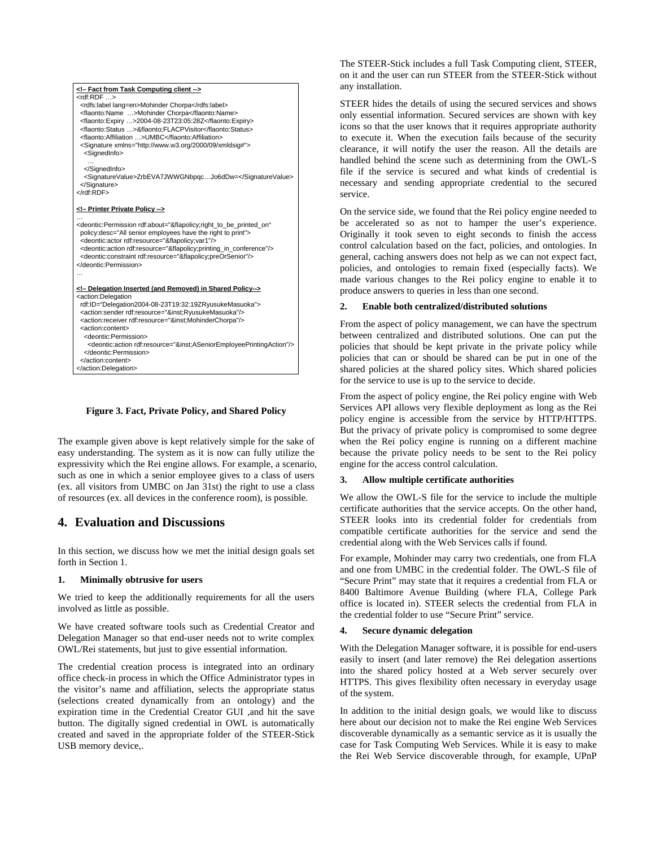

**Figure 3. Fact, Private Policy, and Shared Policy** 

<span id="page-4-1"></span>The example given above is kept relatively simple for the sake of easy understanding. The system as it is now can fully utilize the expressivity which the Rei engine allows. For example, a scenario, such as one in which a senior employee gives to a class of users (ex. all visitors from UMBC on Jan 31st) the right to use a class of resources (ex. all devices in the conference room), is possible.

## <span id="page-4-0"></span>**4. Evaluation and Discussions**

In this section, we discuss how we met the initial design goals set forth in Section [1.](#page-0-0)

#### **1. Minimally obtrusive for users**

We tried to keep the additionally requirements for all the users involved as little as possible.

We have created software tools such as Credential Creator and Delegation Manager so that end-user needs not to write complex OWL/Rei statements, but just to give essential information.

The credential creation process is integrated into an ordinary office check-in process in which the Office Administrator types in the visitor's name and affiliation, selects the appropriate status (selections created dynamically from an ontology) and the expiration time in the Credential Creator GUI ,and hit the save button. The digitally signed credential in OWL is automatically created and saved in the appropriate folder of the STEER-Stick USB memory device,.

The STEER-Stick includes a full Task Computing client, STEER, on it and the user can run STEER from the STEER-Stick without any installation.

STEER hides the details of using the secured services and shows only essential information. Secured services are shown with key icons so that the user knows that it requires appropriate authority to execute it. When the execution fails because of the security clearance, it will notify the user the reason. All the details are handled behind the scene such as determining from the OWL-S file if the service is secured and what kinds of credential is necessary and sending appropriate credential to the secured service.

On the service side, we found that the Rei policy engine needed to be accelerated so as not to hamper the user's experience. Originally it took seven to eight seconds to finish the access control calculation based on the fact, policies, and ontologies. In general, caching answers does not help as we can not expect fact, policies, and ontologies to remain fixed (especially facts). We made various changes to the Rei policy engine to enable it to produce answers to queries in less than one second.

#### **2. Enable both centralized/distributed solutions**

From the aspect of policy management, we can have the spectrum between centralized and distributed solutions. One can put the policies that should be kept private in the private policy while policies that can or should be shared can be put in one of the shared policies at the shared policy sites. Which shared policies for the service to use is up to the service to decide.

From the aspect of policy engine, the Rei policy engine with Web Services API allows very flexible deployment as long as the Rei policy engine is accessible from the service by HTTP/HTTPS. But the privacy of private policy is compromised to some degree when the Rei policy engine is running on a different machine because the private policy needs to be sent to the Rei policy engine for the access control calculation.

#### **3. Allow multiple certificate authorities**

We allow the OWL-S file for the service to include the multiple certificate authorities that the service accepts. On the other hand, STEER looks into its credential folder for credentials from compatible certificate authorities for the service and send the credential along with the Web Services calls if found.

For example, Mohinder may carry two credentials, one from FLA and one from UMBC in the credential folder. The OWL-S file of "Secure Print" may state that it requires a credential from FLA or 8400 Baltimore Avenue Building (where FLA, College Park office is located in). STEER selects the credential from FLA in the credential folder to use "Secure Print" service.

#### **4. Secure dynamic delegation**

With the Delegation Manager software, it is possible for end-users easily to insert (and later remove) the Rei delegation assertions into the shared policy hosted at a Web server securely over HTTPS. This gives flexibility often necessary in everyday usage of the system.

In addition to the initial design goals, we would like to discuss here about our decision not to make the Rei engine Web Services discoverable dynamically as a semantic service as it is usually the case for Task Computing Web Services. While it is easy to make the Rei Web Service discoverable through, for example, UPnP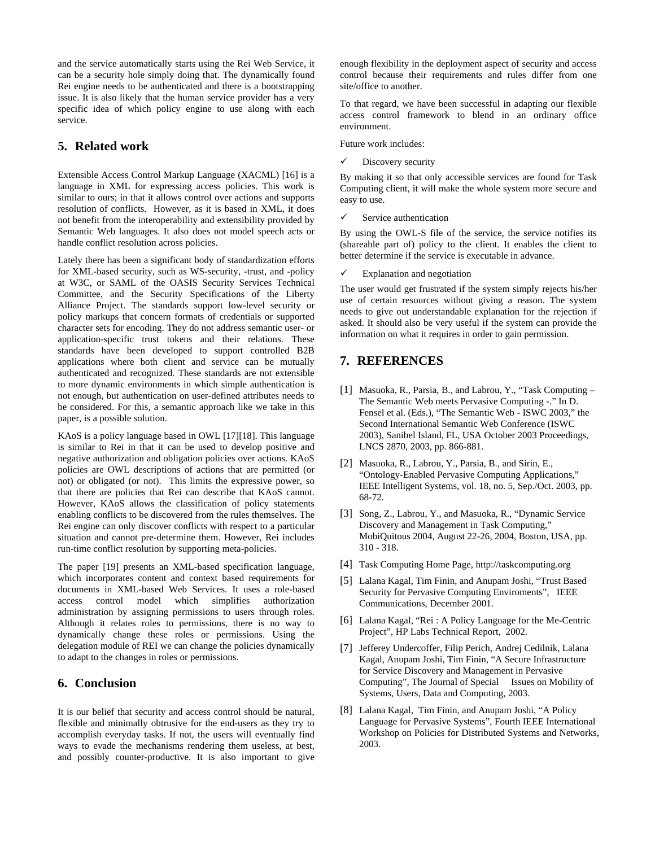and the service automatically starts using the Rei Web Service, it can be a security hole simply doing that. The dynamically found Rei engine needs to be authenticated and there is a bootstrapping issue. It is also likely that the human service provider has a very specific idea of which policy engine to use along with each service.

## <span id="page-5-6"></span>**5. Related work**

Extensible Access Control Markup Language (XACML) [\[16\]](#page-6-2) is a language in XML for expressing access policies. This work is similar to ours; in that it allows control over actions and supports resolution of conflicts. However, as it is based in XML, it does not benefit from the interoperability and extensibility provided by Semantic Web languages. It also does not model speech acts or handle conflict resolution across policies.

Lately there has been a significant body of standardization efforts for XML-based security, such as WS-security, -trust, and -policy at W3C, or SAML of the OASIS Security Services Technical Committee, and the Security Specifications of the Liberty Alliance Project. The standards support low-level security or policy markups that concern formats of credentials or supported character sets for encoding. They do not address semantic user- or application-specific trust tokens and their relations. These standards have been developed to support controlled B2B applications where both client and service can be mutually authenticated and recognized. These standards are not extensible to more dynamic environments in which simple authentication is not enough, but authentication on user-defined attributes needs to be considered. For this, a semantic approach like we take in this paper, is a possible solution.

<span id="page-5-1"></span><span id="page-5-0"></span>KAoS is a policy language based in OWL [\[17\]](#page-6-3)[\[18\]](#page-6-4). This language is similar to Rei in that it can be used to develop positive and negative authorization and obligation policies over actions. KAoS policies are OWL descriptions of actions that are permitted (or not) or obligated (or not). This limits the expressive power, so that there are policies that Rei can describe that KAoS cannot. However, KAoS allows the classification of policy statements enabling conflicts to be discovered from the rules themselves. The Rei engine can only discover conflicts with respect to a particular situation and cannot pre-determine them. However, Rei includes run-time conflict resolution by supporting meta-policies.

<span id="page-5-4"></span><span id="page-5-3"></span><span id="page-5-2"></span>The paper [\[19\]](#page-6-5) presents an XML-based specification language, which incorporates content and context based requirements for documents in XML-based Web Services. It uses a role-based access control model which simplifies authorization administration by assigning permissions to users through roles. Although it relates roles to permissions, there is no way to dynamically change these roles or permissions. Using the delegation module of REI we can change the policies dynamically to adapt to the changes in roles or permissions.

## <span id="page-5-7"></span>**6. Conclusion**

<span id="page-5-5"></span>It is our belief that security and access control should be natural, flexible and minimally obtrusive for the end-users as they try to accomplish everyday tasks. If not, the users will eventually find ways to evade the mechanisms rendering them useless, at best, and possibly counter-productive. It is also important to give

enough flexibility in the deployment aspect of security and access control because their requirements and rules differ from one site/office to another.

To that regard, we have been successful in adapting our flexible access control framework to blend in an ordinary office environment.

Future work includes:

Discovery security

By making it so that only accessible services are found for Task Computing client, it will make the whole system more secure and easy to use.

 $\checkmark$  Service authentication

By using the OWL-S file of the service, the service notifies its (shareable part of) policy to the client. It enables the client to better determine if the service is executable in advance.

 $\checkmark$  Explanation and negotiation

The user would get frustrated if the system simply rejects his/her use of certain resources without giving a reason. The system needs to give out understandable explanation for the rejection if asked. It should also be very useful if the system can provide the information on what it requires in order to gain permission.

## **7. REFERENCES**

- [1] Masuoka, R., Parsia, B., and Labrou, Y., "Task Computing The Semantic Web meets Pervasive Computing -." In D. Fensel et al. (Eds.), "The Semantic Web - ISWC 2003," the Second International Semantic Web Conference (ISWC 2003), Sanibel Island, FL, USA October 2003 Proceedings, LNCS 2870, 2003, pp. 866-881.
- [2] Masuoka, R., Labrou, Y., Parsia, B., and Sirin, E., "Ontology-Enabled Pervasive Computing Applications," IEEE Intelligent Systems, vol. 18, no. 5, Sep./Oct. 2003, pp. 68-72.
- [3] Song, Z., Labrou, Y., and Masuoka, R., "Dynamic Service Discovery and Management in Task Computing," MobiQuitous 2004, August 22-26, 2004, Boston, USA, pp. 310 - 318.
- [4] Task Computing Home Page, http://taskcomputing.org
- [5] Lalana Kagal, Tim Finin, and Anupam Joshi, "Trust Based Security for Pervasive Computing Enviroments", IEEE Communications, December 2001.
- [6] Lalana Kagal, "Rei : A Policy Language for the Me-Centric Project", HP Labs Technical Report, 2002.
- [7] Jefferey Undercoffer, Filip Perich, Andrej Cedilnik, Lalana Kagal, Anupam Joshi, Tim Finin, "A Secure Infrastructure for Service Discovery and Management in Pervasive Computing", The Journal of Special Issues on Mobility of Systems, Users, Data and Computing, 2003.
- [8] Lalana Kagal, Tim Finin, and Anupam Joshi, "A Policy Language for Pervasive Systems", Fourth IEEE International Workshop on Policies for Distributed Systems and Networks, 2003.